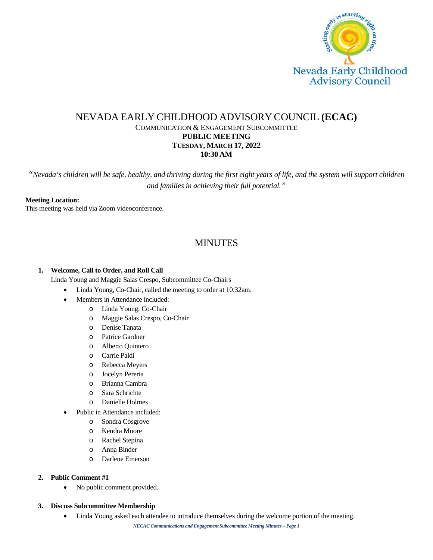

# NEVADA EARLY CHILDHOOD ADVISORY COUNCIL **(ECAC)** COMMUNICATION & ENGAGEMENT SUBCOMMITTEE **PUBLIC MEETING TUESDAY, MARCH 17, 2022 10:30 AM**

*"Nevada's children will be safe, healthy, and thriving during the first eight years of life, and the system will support children and families in achieving their full potential."*

#### **Meeting Location:**

This meeting was held via Zoom videoconference.

# MINUTES

# **1. Welcome, Call to Order, and Roll Call**

Linda Young and Maggie Salas Crespo, Subcommittee Co-Chairs

- Linda Young, Co-Chair, called the meeting to order at 10:32am.
	- Members in Attendance included:
		- o Linda Young, Co-Chair
			- o Maggie Salas Crespo, Co-Chair
			- o Denise Tanata
			- o Patrice Gardner
		- o Alberto Quintero
		- o Carrie Paldi
		- o Rebecca Meyers
		- o Jocelyn Pereria
		- o Brianna Cambra
		- o Sara Schrichte
		- o Danielle Holmes
- Public in Attendance included:
	- o Sondra Cosgrove
	- o Kendra Moore
	- o Rachel Stepina
	- o Anna Binder
	- o Darlene Emerson

#### **2. Public Comment #1**

• No public comment provided.

#### **3. Discuss Subcommittee Membership**

• Linda Young asked each attendee to introduce themselves during the welcome portion of the meeting.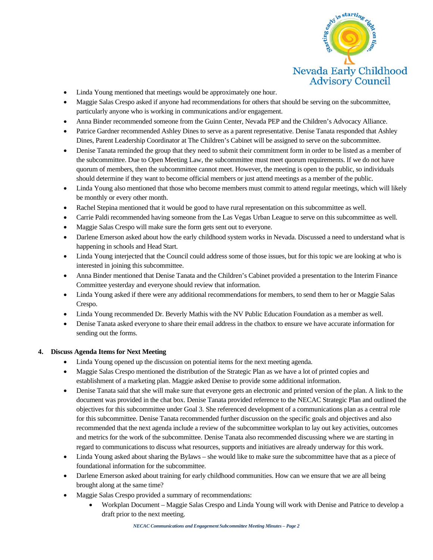

- Linda Young mentioned that meetings would be approximately one hour.
- Maggie Salas Crespo asked if anyone had recommendations for others that should be serving on the subcommittee, particularly anyone who is working in communications and/or engagement.
- Anna Binder recommended someone from the Guinn Center, Nevada PEP and the Children's Advocacy Alliance.
- Patrice Gardner recommended Ashley Dines to serve as a parent representative. Denise Tanata responded that Ashley Dines, Parent Leadership Coordinator at The Children's Cabinet will be assigned to serve on the subcommittee.
- Denise Tanata reminded the group that they need to submit their commitment form in order to be listed as a member of the subcommittee. Due to Open Meeting Law, the subcommittee must meet quorum requirements. If we do not have quorum of members, then the subcommittee cannot meet. However, the meeting is open to the public, so individuals should determine if they want to become official members or just attend meetings as a member of the public.
- Linda Young also mentioned that those who become members must commit to attend regular meetings, which will likely be monthly or every other month.
- Rachel Stepina mentioned that it would be good to have rural representation on this subcommittee as well.
- Carrie Paldi recommended having someone from the Las Vegas Urban League to serve on this subcommittee as well.
- Maggie Salas Crespo will make sure the form gets sent out to everyone.
- Darlene Emerson asked about how the early childhood system works in Nevada. Discussed a need to understand what is happening in schools and Head Start.
- Linda Young interjected that the Council could address some of those issues, but for this topic we are looking at who is interested in joining this subcommittee.
- Anna Binder mentioned that Denise Tanata and the Children's Cabinet provided a presentation to the Interim Finance Committee yesterday and everyone should review that information.
- Linda Young asked if there were any additional recommendations for members, to send them to her or Maggie Salas Crespo.
- Linda Young recommended Dr. Beverly Mathis with the NV Public Education Foundation as a member as well.
- Denise Tanata asked everyone to share their email address in the chatbox to ensure we have accurate information for sending out the forms.

# **4. Discuss Agenda Items for Next Meeting**

- Linda Young opened up the discussion on potential items for the next meeting agenda.
- Maggie Salas Crespo mentioned the distribution of the Strategic Plan as we have a lot of printed copies and establishment of a marketing plan. Maggie asked Denise to provide some additional information.
- Denise Tanata said that she will make sure that everyone gets an electronic and printed version of the plan. A link to the document was provided in the chat box. Denise Tanata provided reference to the NECAC Strategic Plan and outlined the objectives for this subcommittee under Goal 3. She referenced development of a communications plan as a central role for this subcommittee. Denise Tanata recommended further discussion on the specific goals and objectives and also recommended that the next agenda include a review of the subcommittee workplan to lay out key activities, outcomes and metrics for the work of the subcommittee. Denise Tanata also recommended discussing where we are starting in regard to communications to discuss what resources, supports and initiatives are already underway for this work.
- Linda Young asked about sharing the Bylaws she would like to make sure the subcommittee have that as a piece of foundational information for the subcommittee.
- Darlene Emerson asked about training for early childhood communities. How can we ensure that we are all being brought along at the same time?
- Maggie Salas Crespo provided a summary of recommendations:
	- Workplan Document Maggie Salas Crespo and Linda Young will work with Denise and Patrice to develop a draft prior to the next meeting.